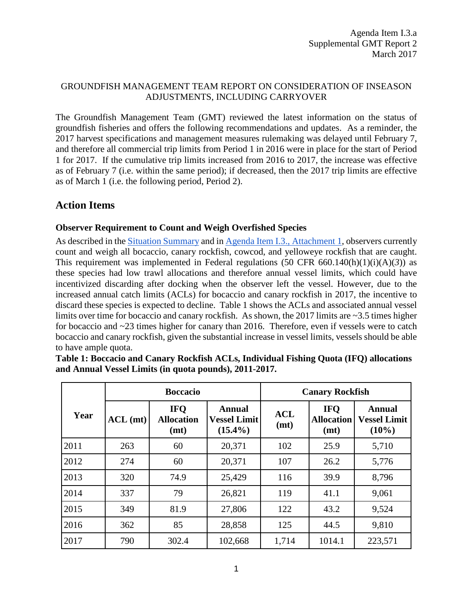## GROUNDFISH MANAGEMENT TEAM REPORT ON CONSIDERATION OF INSEASON ADJUSTMENTS, INCLUDING CARRYOVER

The Groundfish Management Team (GMT) reviewed the latest information on the status of groundfish fisheries and offers the following recommendations and updates. As a reminder, the 2017 harvest specifications and management measures rulemaking was delayed until February 7, and therefore all commercial trip limits from Period 1 in 2016 were in place for the start of Period 1 for 2017. If the cumulative trip limits increased from 2016 to 2017, the increase was effective as of February 7 (i.e. within the same period); if decreased, then the 2017 trip limits are effective as of March 1 (i.e. the following period, Period 2).

# **Action Items**

### **Observer Requirement to Count and Weigh Overfished Species**

As described in the [Situation Summary](http://www.pcouncil.org/wp-content/uploads/2017/02/I3__SitSum_Inseason_Mar2017BB.pdf) and in [Agenda Item I.3., Attachment 1,](http://www.pcouncil.org/wp-content/uploads/2017/02/I3_Att1_IFQRegs_Mar2017BB.pdf) observers currently count and weigh all bocaccio, canary rockfish, cowcod, and yelloweye rockfish that are caught. This requirement was implemented in Federal regulations  $(50 \text{ CFR } 660.140(h)(1)(i)(A)(3))$  as these species had low trawl allocations and therefore annual vessel limits, which could have incentivized discarding after docking when the observer left the vessel. However, due to the increased annual catch limits (ACLs) for bocaccio and canary rockfish in 2017, the incentive to discard these species is expected to decline. [Table 1](#page-0-0) shows the ACLs and associated annual vessel limits over time for bocaccio and canary rockfish. As shown, the 2017 limits are ~3.5 times higher for bocaccio and ~23 times higher for canary than 2016. Therefore, even if vessels were to catch bocaccio and canary rockfish, given the substantial increase in vessel limits, vessels should be able to have ample quota.

|      |            | <b>Boccacio</b>                         |                                                    | <b>Canary Rockfish</b> |                                         |                                                  |  |  |
|------|------------|-----------------------------------------|----------------------------------------------------|------------------------|-----------------------------------------|--------------------------------------------------|--|--|
| Year | $ACL$ (mt) | <b>IFO</b><br><b>Allocation</b><br>(mt) | <b>Annual</b><br><b>Vessel Limit</b><br>$(15.4\%)$ | <b>ACL</b><br>(mt)     | <b>IFO</b><br><b>Allocation</b><br>(mt) | <b>Annual</b><br><b>Vessel Limit</b><br>$(10\%)$ |  |  |
| 2011 | 263        | 60                                      | 20,371                                             | 102                    | 25.9                                    | 5,710                                            |  |  |
| 2012 | 274        | 60                                      | 20,371                                             | 107                    | 26.2                                    | 5,776                                            |  |  |
| 2013 | 320        | 74.9                                    | 25,429                                             | 116                    | 39.9                                    | 8,796                                            |  |  |
| 2014 | 337        | 79                                      | 26,821                                             | 119                    | 41.1                                    | 9,061                                            |  |  |
| 2015 | 349        | 81.9                                    | 27,806                                             | 122                    | 43.2                                    | 9,524                                            |  |  |
| 2016 | 362        | 85                                      | 28,858                                             | 125                    | 44.5                                    | 9,810                                            |  |  |
| 2017 | 790        | 302.4                                   | 102,668                                            | 1,714                  | 1014.1                                  | 223,571                                          |  |  |

<span id="page-0-0"></span>**Table 1: Boccacio and Canary Rockfish ACLs, Individual Fishing Quota (IFQ) allocations and Annual Vessel Limits (in quota pounds), 2011-2017.**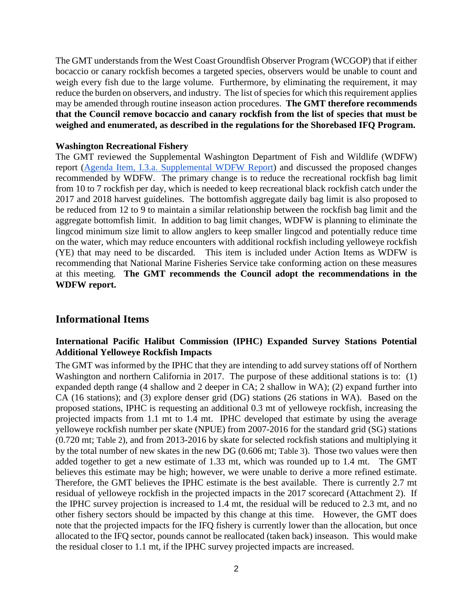The GMT understands from the West Coast Groundfish Observer Program (WCGOP) that if either bocaccio or canary rockfish becomes a targeted species, observers would be unable to count and weigh every fish due to the large volume. Furthermore, by eliminating the requirement, it may reduce the burden on observers, and industry. The list of species for which this requirement applies may be amended through routine inseason action procedures. **The GMT therefore recommends that the Council remove bocaccio and canary rockfish from the list of species that must be weighed and enumerated, as described in the regulations for the Shorebased IFQ Program.** 

#### **Washington Recreational Fishery**

The GMT reviewed the Supplemental Washington Department of Fish and Wildlife (WDFW) report [\(Agenda Item, I.3.a.](http://www.pcouncil.org/wp-content/uploads/2017/03/I3a_Sup_WDFW_Rpt_inseason2017_Mar2017BB.pdf) [Supplemental WDFW Report\)](http://www.pcouncil.org/wp-content/uploads/2017/03/I3a_Sup_WDFW_Rpt_inseason2017_Mar2017BB.pdf) and discussed the proposed changes recommended by WDFW. The primary change is to reduce the recreational rockfish bag limit from 10 to 7 rockfish per day, which is needed to keep recreational black rockfish catch under the 2017 and 2018 harvest guidelines. The bottomfish aggregate daily bag limit is also proposed to be reduced from 12 to 9 to maintain a similar relationship between the rockfish bag limit and the aggregate bottomfish limit. In addition to bag limit changes, WDFW is planning to eliminate the lingcod minimum size limit to allow anglers to keep smaller lingcod and potentially reduce time on the water, which may reduce encounters with additional rockfish including yelloweye rockfish (YE) that may need to be discarded. This item is included under Action Items as WDFW is recommending that National Marine Fisheries Service take conforming action on these measures at this meeting. **The GMT recommends the Council adopt the recommendations in the WDFW report.**

# **Informational Items**

### **International Pacific Halibut Commission (IPHC) Expanded Survey Stations Potential Additional Yelloweye Rockfish Impacts**

The GMT was informed by the IPHC that they are intending to add survey stations off of Northern Washington and northern California in 2017. The purpose of these additional stations is to: (1) expanded depth range (4 shallow and 2 deeper in CA; 2 shallow in WA); (2) expand further into CA (16 stations); and (3) explore denser grid (DG) stations (26 stations in WA). Based on the proposed stations, IPHC is requesting an additional 0.3 mt of yelloweye rockfish, increasing the projected impacts from 1.1 mt to 1.4 mt. IPHC developed that estimate by using the average yelloweye rockfish number per skate (NPUE) from 2007-2016 for the standard grid (SG) stations (0.720 mt; [Table 2\)](#page-2-0), and from 2013-2016 by skate for selected rockfish stations and multiplying it by the total number of new skates in the new DG (0.606 mt; [Table 3\)](#page-2-1). Those two values were then added together to get a new estimate of 1.33 mt, which was rounded up to 1.4 mt. The GMT believes this estimate may be high; however, we were unable to derive a more refined estimate. Therefore, the GMT believes the IPHC estimate is the best available. There is currently 2.7 mt residual of yelloweye rockfish in the projected impacts in the 2017 scorecard (Attachment 2). If the IPHC survey projection is increased to 1.4 mt, the residual will be reduced to 2.3 mt, and no other fishery sectors should be impacted by this change at this time. However, the GMT does note that the projected impacts for the IFQ fishery is currently lower than the allocation, but once allocated to the IFQ sector, pounds cannot be reallocated (taken back) inseason. This would make the residual closer to 1.1 mt, if the IPHC survey projected impacts are increased.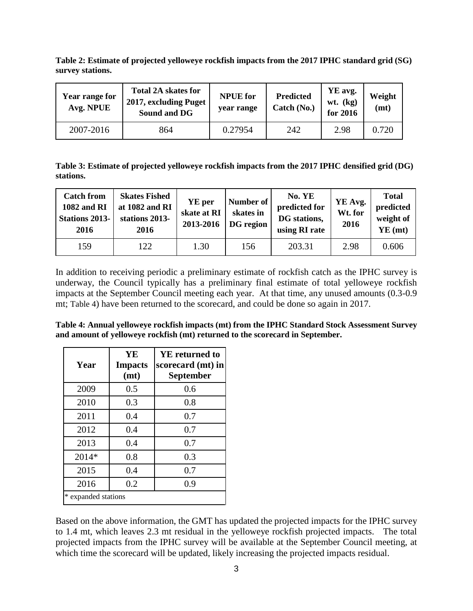<span id="page-2-0"></span>**Table 2: Estimate of projected yelloweye rockfish impacts from the 2017 IPHC standard grid (SG) survey stations.**

| Year range for<br>Avg. NPUE | <b>Total 2A skates for</b><br>2017, excluding Puget<br>Sound and DG | <b>NPUE</b> for<br>year range | <b>Predicted</b><br>Catch (No.) | YE avg.<br>$wt.$ (kg)<br>for 2016 | Weight<br>(mt) |
|-----------------------------|---------------------------------------------------------------------|-------------------------------|---------------------------------|-----------------------------------|----------------|
| 2007-2016                   | 864                                                                 | 0.27954                       | 242                             | 2.98                              | 0.720          |

<span id="page-2-1"></span>**Table 3: Estimate of projected yelloweye rockfish impacts from the 2017 IPHC densified grid (DG) stations.**

| <b>Catch from</b><br><b>1082 and RI</b><br><b>Stations 2013-</b><br>2016 | <b>Skates Fished</b><br>at 1082 and RI<br>stations 2013-<br>2016 | YE per<br>skate at RI<br>2013-2016 | Number of<br>skates in<br>DG region | No. YE<br>predicted for<br>DG stations,<br>using RI rate | YE Avg.<br>Wt. for<br>2016 | <b>Total</b><br>predicted<br>weight of<br>$YE$ (mt) |
|--------------------------------------------------------------------------|------------------------------------------------------------------|------------------------------------|-------------------------------------|----------------------------------------------------------|----------------------------|-----------------------------------------------------|
| 159                                                                      | 122                                                              | 1.30                               | 156                                 | 203.31                                                   | 2.98                       | 0.606                                               |

In addition to receiving periodic a preliminary estimate of rockfish catch as the IPHC survey is underway, the Council typically has a preliminary final estimate of total yelloweye rockfish impacts at the September Council meeting each year. At that time, any unused amounts (0.3-0.9 mt; [Table 4\)](#page-2-2) have been returned to the scorecard, and could be done so again in 2017.

| Year                | YE<br><b>Impacts</b><br>(mt) | <b>YE</b> returned to<br>scorecard (mt) in<br><b>September</b> |
|---------------------|------------------------------|----------------------------------------------------------------|
| 2009                | 0.5                          | 0.6                                                            |
| 2010                | 0.3                          | $0.8\,$                                                        |
| 2011                | 0.4                          | 0.7                                                            |
| 2012                | 0.4                          | 0.7                                                            |
| 2013                | 0.4                          | 0.7                                                            |
| $2014*$             | 0.8                          | 0.3                                                            |
| 2015                | 0.4                          | 0.7                                                            |
| 2016                | 0.2                          | 0.9                                                            |
| * expanded stations |                              |                                                                |

<span id="page-2-2"></span>**Table 4: Annual yelloweye rockfish impacts (mt) from the IPHC Standard Stock Assessment Survey and amount of yelloweye rockfish (mt) returned to the scorecard in September.**

Based on the above information, the GMT has updated the projected impacts for the IPHC survey to 1.4 mt, which leaves 2.3 mt residual in the yelloweye rockfish projected impacts. The total projected impacts from the IPHC survey will be available at the September Council meeting, at which time the scorecard will be updated, likely increasing the projected impacts residual.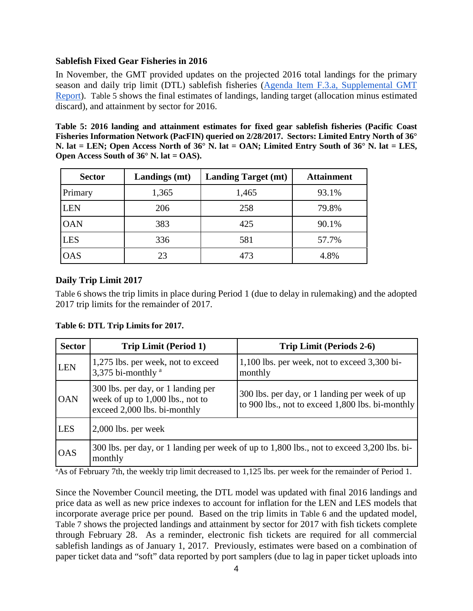#### **Sablefish Fixed Gear Fisheries in 2016**

In November, the GMT provided updates on the projected 2016 total landings for the primary season and daily trip limit (DTL) sablefish fisheries [\(Agenda Item F.3.a, Supplemental GMT](http://www.pcouncil.org/wp-content/uploads/2016/11/F3a_Sup_GMT_NOV2016BB.pdf)  [Report\)](http://www.pcouncil.org/wp-content/uploads/2016/11/F3a_Sup_GMT_NOV2016BB.pdf). [Table 5](#page-3-0) shows the final estimates of landings, landing target (allocation minus estimated discard), and attainment by sector for 2016.

<span id="page-3-0"></span>**Table 5: 2016 landing and attainment estimates for fixed gear sablefish fisheries (Pacific Coast Fisheries Information Network (PacFIN) queried on 2/28/2017. Sectors: Limited Entry North of 36° N. lat = LEN; Open Access North of 36° N. lat = OAN; Limited Entry South of 36° N. lat = LES, Open Access South of 36° N. lat = OAS).** 

| <b>Sector</b> | Landings (mt) | <b>Landing Target (mt)</b> | <b>Attainment</b> |
|---------------|---------------|----------------------------|-------------------|
| Primary       | 1,365         | 1,465                      | 93.1%             |
| <b>LEN</b>    | 206           | 258                        | 79.8%             |
| <b>OAN</b>    | 383           | 425                        | 90.1%             |
| <b>LES</b>    | 336           | 581                        | 57.7%             |
| <b>OAS</b>    | 23            | 473                        | 4.8%              |

### **Daily Trip Limit 2017**

[Table 6](#page-3-1) shows the trip limits in place during Period 1 (due to delay in rulemaking) and the adopted 2017 trip limits for the remainder of 2017.

#### <span id="page-3-1"></span>**Table 6: DTL Trip Limits for 2017.**

| <b>Sector</b> | <b>Trip Limit (Period 1)</b>                                                                           | <b>Trip Limit (Periods 2-6)</b>                                                                   |
|---------------|--------------------------------------------------------------------------------------------------------|---------------------------------------------------------------------------------------------------|
| <b>LEN</b>    | 1,275 lbs. per week, not to exceed<br>3,375 bi-monthly <sup>a</sup>                                    | 1,100 lbs. per week, not to exceed 3,300 bi-<br>monthly                                           |
| <b>OAN</b>    | 300 lbs. per day, or 1 landing per<br>week of up to 1,000 lbs., not to<br>exceed 2,000 lbs. bi-monthly | 300 lbs. per day, or 1 landing per week of up<br>to 900 lbs., not to exceed 1,800 lbs. bi-monthly |
| <b>LES</b>    | $2,000$ lbs. per week                                                                                  |                                                                                                   |
| <b>OAS</b>    | monthly                                                                                                | 300 lbs. per day, or 1 landing per week of up to 1,800 lbs., not to exceed 3,200 lbs. bi-         |

<sup>a</sup>As of February 7th, the weekly trip limit decreased to 1,125 lbs. per week for the remainder of Period 1.

Since the November Council meeting, the DTL model was updated with final 2016 landings and price data as well as new price indexes to account for inflation for the LEN and LES models that incorporate average price per pound. Based on the trip limits in [Table 6](#page-3-1) and the updated model, [Table 7](#page-4-0) shows the projected landings and attainment by sector for 2017 with fish tickets complete through February 28. As a reminder, electronic fish tickets are required for all commercial sablefish landings as of January 1, 2017. Previously, estimates were based on a combination of paper ticket data and "soft" data reported by port samplers (due to lag in paper ticket uploads into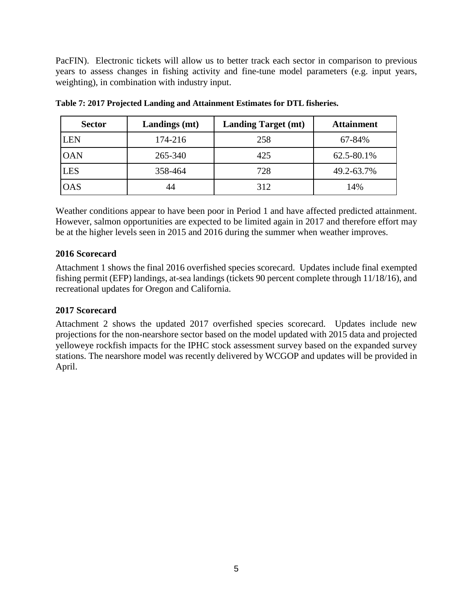PacFIN). Electronic tickets will allow us to better track each sector in comparison to previous years to assess changes in fishing activity and fine-tune model parameters (e.g. input years, weighting), in combination with industry input.

| <b>Sector</b> | Landings (mt) | <b>Landing Target (mt)</b> | <b>Attainment</b> |
|---------------|---------------|----------------------------|-------------------|
| LEN           | 174-216       | 258                        | 67-84%            |
| <b>OAN</b>    | 265-340       | 425                        | 62.5-80.1%        |
| <b>LES</b>    | 358-464       | 728                        | 49.2-63.7%        |
| OAS           | 44            | 312                        | 14%               |

<span id="page-4-0"></span>**Table 7: 2017 Projected Landing and Attainment Estimates for DTL fisheries.**

Weather conditions appear to have been poor in Period 1 and have affected predicted attainment. However, salmon opportunities are expected to be limited again in 2017 and therefore effort may be at the higher levels seen in 2015 and 2016 during the summer when weather improves.

### **2016 Scorecard**

Attachment 1 shows the final 2016 overfished species scorecard. Updates include final exempted fishing permit (EFP) landings, at-sea landings (tickets 90 percent complete through 11/18/16), and recreational updates for Oregon and California.

### **2017 Scorecard**

Attachment 2 shows the updated 2017 overfished species scorecard. Updates include new projections for the non-nearshore sector based on the model updated with 2015 data and projected yelloweye rockfish impacts for the IPHC stock assessment survey based on the expanded survey stations. The nearshore model was recently delivered by WCGOP and updates will be provided in April.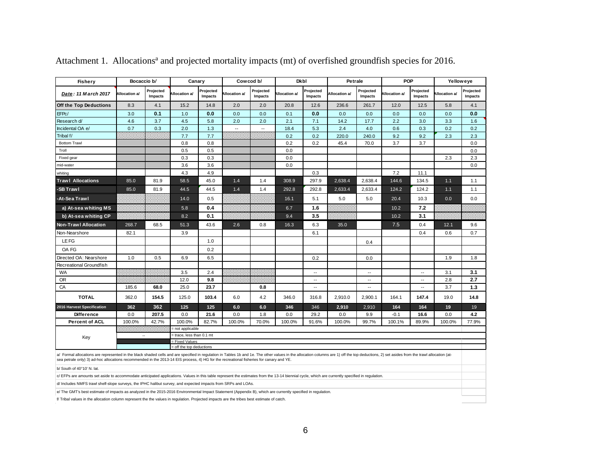| <b>Fishery</b>                                                                                                                                                                                                                                                                                                                                                            | Bocaccio b/          |                      | Canary                                   |                      |                          | Cowcod b/                |                     | <b>Dkbl</b>              | Petrale       |                            | <b>POP</b>           |                          | Yelloweye     |                      |
|---------------------------------------------------------------------------------------------------------------------------------------------------------------------------------------------------------------------------------------------------------------------------------------------------------------------------------------------------------------------------|----------------------|----------------------|------------------------------------------|----------------------|--------------------------|--------------------------|---------------------|--------------------------|---------------|----------------------------|----------------------|--------------------------|---------------|----------------------|
| Date: 11 March 2017                                                                                                                                                                                                                                                                                                                                                       | <b>Allocation a/</b> | Projected<br>Impacts | Allocation a/                            | Projected<br>Impacts | Allocation a/            | Projected<br>Impacts     | <b>Ilocation a/</b> | Projected<br>Impacts     | Allocation a/ | Projected<br>Impacts       | <b>Allocation a/</b> | Projected<br>Impacts     | Allocation a/ | Projected<br>Impacts |
| Off the Top Deductions                                                                                                                                                                                                                                                                                                                                                    | 8.3                  | 4.1                  | 15.2                                     | 14.8                 | 2.0                      | 2.0                      | 20.8                | 12.6                     | 236.6         | 261.7                      | 12.0                 | 12.5                     | 5.8           | 4.1                  |
| EFPc/                                                                                                                                                                                                                                                                                                                                                                     | 3.0                  | 0.1                  | 1.0                                      | 0.0                  | 0.0                      | 0.0                      | 0.1                 | 0.0                      | 0.0           | 0.0                        | 0.0                  | 0.0                      | 0.0           | 0.0                  |
| Research d/                                                                                                                                                                                                                                                                                                                                                               | 4.6                  | 3.7                  | 4.5                                      | 5.8                  | 2.0                      | 2.0                      | 2.1                 | 7.1                      | 14.2          | 17.7                       | 2.2                  | 3.0                      | 3.3           | 1.6                  |
| Incidental OA e/                                                                                                                                                                                                                                                                                                                                                          | 0.7                  | 0.3                  | 2.0                                      | 1.3                  | $\overline{\phantom{a}}$ | $\overline{\phantom{a}}$ | 18.4                | 5.3                      | 2.4           | 4.0                        | 0.6                  | 0.3                      | 0.2           | 0.2                  |
| Tribal f/                                                                                                                                                                                                                                                                                                                                                                 |                      |                      | 7.7                                      | 7.7                  |                          |                          | 0.2                 | 0.2                      | 220.0         | 240.0                      | 9.2                  | 9.2                      | 2.3           | 2.3                  |
| <b>Bottom Trawl</b>                                                                                                                                                                                                                                                                                                                                                       |                      |                      | 0.8                                      | 0.8                  |                          |                          | 0.2                 | 0.2                      | 45.4          | 70.0                       | 3.7                  | 3.7                      |               | 0.0                  |
| Troll                                                                                                                                                                                                                                                                                                                                                                     |                      |                      | 0.5                                      | 0.5                  |                          |                          | 0.0                 |                          |               |                            |                      |                          |               | 0.0                  |
| Fixed gear                                                                                                                                                                                                                                                                                                                                                                |                      |                      | 0.3                                      | 0.3                  |                          |                          | 0.0                 |                          |               |                            |                      |                          | 2.3           | 2.3                  |
| mid-water                                                                                                                                                                                                                                                                                                                                                                 |                      |                      | 3.6                                      | 3.6                  |                          |                          | 0.0                 |                          |               |                            |                      |                          |               | 0.0                  |
| whiting                                                                                                                                                                                                                                                                                                                                                                   |                      |                      | 4.3                                      | 4.9                  |                          |                          |                     | 0.3                      |               |                            | 7.2                  | 11.1                     |               |                      |
| <b>Trawl Allocations</b>                                                                                                                                                                                                                                                                                                                                                  | 85.0                 | 81.9                 | 58.5                                     | 45.0                 | 1.4                      | 1.4                      | 308.9               | 297.9                    | 2.638.4       | 2.638.4                    | 144.6                | 134.5                    | 1.1           | 1.1                  |
| <b>SB Trawl</b>                                                                                                                                                                                                                                                                                                                                                           | 85.0                 | 81.9                 | 44.5                                     | 44.5                 | 1.4                      | 1.4                      | 292.8               | 292.8                    | 2,633.4       | 2,633.4                    | 124.2                | 124.2                    | 1.1           | 1.1                  |
| -At-Sea Trawl                                                                                                                                                                                                                                                                                                                                                             |                      |                      | 14.0                                     | 0.5                  |                          |                          | 16.1                | 5.1                      | 5.0           | 5.0                        | 20.4                 | 10.3                     | 0.0           | 0.0                  |
| a) At-sea whiting MS                                                                                                                                                                                                                                                                                                                                                      |                      |                      | 5.8                                      | 0.4                  |                          |                          | 6.7                 | 1.6                      |               |                            | 10.2                 | 7.2                      |               |                      |
| b) At-sea whiting CP                                                                                                                                                                                                                                                                                                                                                      |                      |                      | 8.2                                      | 0.1                  |                          |                          | 9.4                 | 3.5                      |               |                            | 10.2                 | 3.1                      |               |                      |
| <b>Non-Trawl Allocation</b>                                                                                                                                                                                                                                                                                                                                               | 268.7                | 68.5                 | 51.3                                     | 43.6                 | 2.6                      | 0.8                      | 16.3                | 6.3                      | 35.0          |                            | 7.5                  | 0.4                      | 12.1          | 9.6                  |
| Non-Nearshore                                                                                                                                                                                                                                                                                                                                                             | 82.1                 |                      | 3.9                                      |                      |                          |                          |                     | 6.1                      |               |                            |                      | 0.4                      | 0.6           | 0.7                  |
| LE FG                                                                                                                                                                                                                                                                                                                                                                     |                      |                      |                                          | 1.0                  |                          |                          |                     |                          |               | 0.4                        |                      |                          |               |                      |
| OA FG                                                                                                                                                                                                                                                                                                                                                                     |                      |                      |                                          | 0.2                  |                          |                          |                     |                          |               |                            |                      |                          |               |                      |
| Directed OA: Nearshore                                                                                                                                                                                                                                                                                                                                                    | 1.0                  | 0.5                  | 6.9                                      | 6.5                  |                          |                          |                     | 0.2                      |               | 0.0                        |                      |                          | 1.9           | 1.8                  |
| Recreational Groundfish                                                                                                                                                                                                                                                                                                                                                   |                      |                      |                                          |                      |                          |                          |                     |                          |               |                            |                      |                          |               |                      |
| <b>WA</b>                                                                                                                                                                                                                                                                                                                                                                 |                      |                      | 3.5                                      | 2.4                  |                          |                          |                     | $\overline{\phantom{a}}$ |               | $\overline{\phantom{a}}$ . |                      | $\overline{\phantom{a}}$ | 3.1           | 3.1                  |
| <b>OR</b>                                                                                                                                                                                                                                                                                                                                                                 |                      |                      | 12.0                                     | 9.8                  |                          |                          |                     | $\overline{\phantom{a}}$ |               | $\overline{\phantom{a}}$   |                      | $\overline{\phantom{a}}$ | 2.8           | 2.7                  |
| CA                                                                                                                                                                                                                                                                                                                                                                        | 185.6                | 68.0                 | 25.0                                     | 23.7                 |                          | 0.8                      |                     | $\overline{\phantom{a}}$ |               | $\overline{\phantom{a}}$ . |                      | $\overline{\phantom{a}}$ | 3.7           | 1.3                  |
| <b>TOTAL</b>                                                                                                                                                                                                                                                                                                                                                              | 362.0                | 154.5                | 125.0                                    | 103.4                | 6.0                      | 4.2                      | 346.0               | 316.8                    | 2,910.0       | 2,900.1                    | 164.1                | 147.4                    | 19.0          | 14.8                 |
| 2016 Harvest Specification                                                                                                                                                                                                                                                                                                                                                | 362                  | 362                  | 125                                      | 125                  | 6.0                      | 6.0                      | 346                 | 346                      | 2,910         | 2,910                      | 164                  | 164                      | 19            | 19                   |
| <b>Difference</b>                                                                                                                                                                                                                                                                                                                                                         | 0.0                  | 207.5                | 0.0                                      | 21.6                 | 0.0                      | 1.8                      | 0.0                 | 29.2                     | 0.0           | 9.9                        | $-0.1$               | 16.6                     | 0.0           | 4.2                  |
| <b>Percent of ACL</b>                                                                                                                                                                                                                                                                                                                                                     | 100.0%               | 42.7%                | 100.0%                                   | 82.7%                | 100.0%                   | 70.0%                    | 100.0%              | 91.6%                    | 100.0%        | 99.7%                      | 100.1%               | 89.9%                    | 100.0%        | 77.9%                |
|                                                                                                                                                                                                                                                                                                                                                                           |                      | mm                   | not applicable                           |                      |                          |                          |                     |                          |               |                            |                      |                          |               |                      |
| Key                                                                                                                                                                                                                                                                                                                                                                       | $\sim$               |                      | trace, less than 0.1 mt                  |                      |                          |                          |                     |                          |               |                            |                      |                          |               |                      |
|                                                                                                                                                                                                                                                                                                                                                                           |                      |                      | Fixed Values<br>= off the top deductions |                      |                          |                          |                     |                          |               |                            |                      |                          |               |                      |
| a/ Formal allocations are represented in the black shaded cells and are specified in regulation in Tables 1b and 1e. The other values in the allocation columns are 1) off the top deductions, 2) set asides from the trawl al<br>sea petrale only) 3) ad-hoc allocations recommended in the 2013-14 EIS process, 4) HG for the recreational fisheries for canary and YE. |                      |                      |                                          |                      |                          |                          |                     |                          |               |                            |                      |                          |               |                      |
| b/ South of 40°10' N. lat.                                                                                                                                                                                                                                                                                                                                                |                      |                      |                                          |                      |                          |                          |                     |                          |               |                            |                      |                          |               |                      |
| c/ EFPs are amounts set aside to accommodate anticipated applications. Values in this table represent the estimates from the 13-14 biennial cycle, which are currently specified in regulation.                                                                                                                                                                           |                      |                      |                                          |                      |                          |                          |                     |                          |               |                            |                      |                          |               |                      |

Attachment 1. Allocations<sup>a</sup> and projected mortality impacts (mt) of overfished groundfish species for 2016.

d/ Includes NMFS trawl shelf-slope surveys, the IPHC halibut survey, and expected impacts from SRPs and LOAs.

e/ The GMT's best estimate of impacts as analyzed in the 2015-2016 Environmental Impact Statement (Appendix B), which are currently specified in regulation.

f/ Tribal values in the allocation column represent the the values in regulation. Projected impacts are the tribes best estimate of catch.